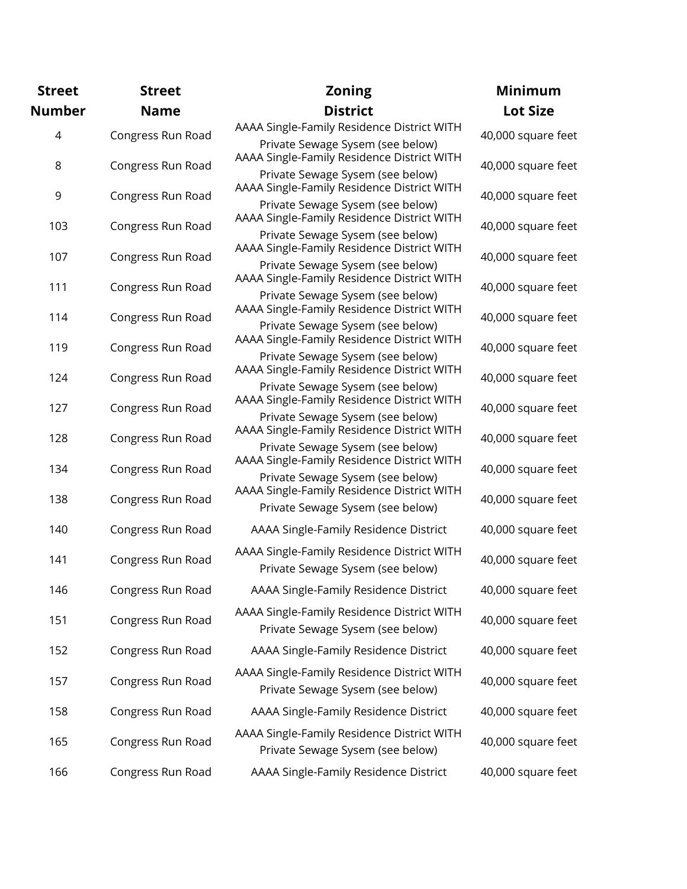| <b>Street</b> | <b>Street</b>     | <b>Zoning</b>                                                                  | <b>Minimum</b>     |
|---------------|-------------------|--------------------------------------------------------------------------------|--------------------|
| <b>Number</b> | <b>Name</b>       | <b>District</b>                                                                | <b>Lot Size</b>    |
| 4             | Congress Run Road | AAAA Single-Family Residence District WITH<br>Private Sewage Sysem (see below) | 40,000 square feet |
| 8             | Congress Run Road | AAAA Single-Family Residence District WITH<br>Private Sewage Sysem (see below) | 40,000 square feet |
| 9             | Congress Run Road | AAAA Single-Family Residence District WITH<br>Private Sewage Sysem (see below) | 40,000 square feet |
| 103           | Congress Run Road | AAAA Single-Family Residence District WITH<br>Private Sewage Sysem (see below) | 40,000 square feet |
| 107           | Congress Run Road | AAAA Single-Family Residence District WITH<br>Private Sewage Sysem (see below) | 40,000 square feet |
| 111           | Congress Run Road | AAAA Single-Family Residence District WITH<br>Private Sewage Sysem (see below) | 40,000 square feet |
| 114           | Congress Run Road | AAAA Single-Family Residence District WITH<br>Private Sewage Sysem (see below) | 40,000 square feet |
| 119           | Congress Run Road | AAAA Single-Family Residence District WITH<br>Private Sewage Sysem (see below) | 40,000 square feet |
| 124           | Congress Run Road | AAAA Single-Family Residence District WITH<br>Private Sewage Sysem (see below) | 40,000 square feet |
| 127           | Congress Run Road | AAAA Single-Family Residence District WITH<br>Private Sewage Sysem (see below) | 40,000 square feet |
| 128           | Congress Run Road | AAAA Single-Family Residence District WITH<br>Private Sewage Sysem (see below) | 40,000 square feet |
| 134           | Congress Run Road | AAAA Single-Family Residence District WITH<br>Private Sewage Sysem (see below) | 40,000 square feet |
| 138           | Congress Run Road | AAAA Single-Family Residence District WITH<br>Private Sewage Sysem (see below) | 40,000 square feet |
| 140           | Congress Run Road | AAAA Single-Family Residence District                                          | 40,000 square feet |
| 141           | Congress Run Road | AAAA Single-Family Residence District WITH<br>Private Sewage Sysem (see below) | 40,000 square feet |
| 146           | Congress Run Road | AAAA Single-Family Residence District                                          | 40,000 square feet |
| 151           | Congress Run Road | AAAA Single-Family Residence District WITH<br>Private Sewage Sysem (see below) | 40,000 square feet |
| 152           | Congress Run Road | AAAA Single-Family Residence District                                          | 40,000 square feet |
| 157           | Congress Run Road | AAAA Single-Family Residence District WITH<br>Private Sewage Sysem (see below) | 40,000 square feet |
| 158           | Congress Run Road | AAAA Single-Family Residence District                                          | 40,000 square feet |
| 165           | Congress Run Road | AAAA Single-Family Residence District WITH<br>Private Sewage Sysem (see below) | 40,000 square feet |
| 166           | Congress Run Road | AAAA Single-Family Residence District                                          | 40,000 square feet |